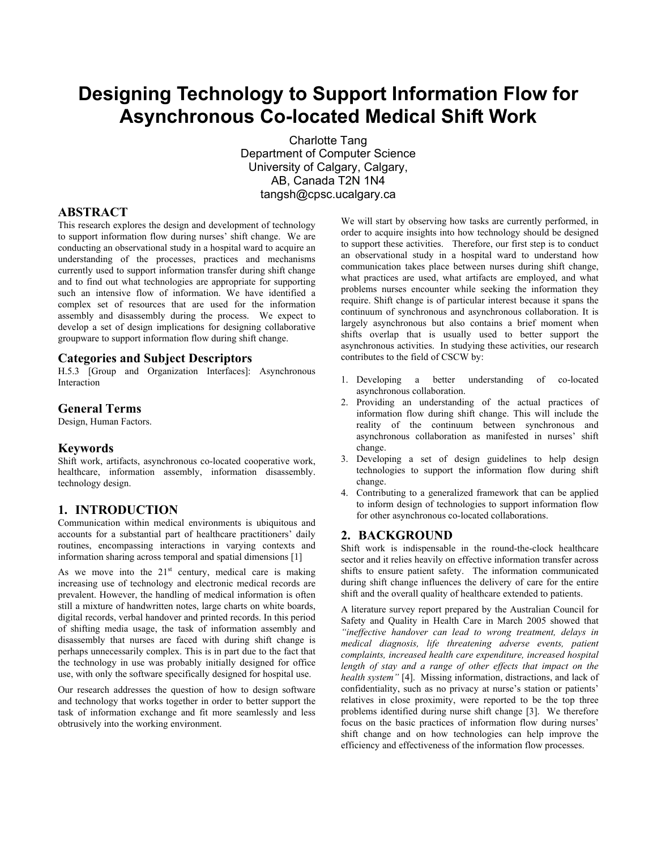# **Designing Technology to Support Information Flow for Asynchronous Co-located Medical Shift Work**

Charlotte Tang Department of Computer Science University of Calgary, Calgary, AB, Canada T2N 1N4 tangsh@cpsc.ucalgary.ca

# **ABSTRACT**

This research explores the design and development of technology to support information flow during nurses' shift change. We are conducting an observational study in a hospital ward to acquire an understanding of the processes, practices and mechanisms currently used to support information transfer during shift change and to find out what technologies are appropriate for supporting such an intensive flow of information. We have identified a complex set of resources that are used for the information assembly and disassembly during the process. We expect to develop a set of design implications for designing collaborative groupware to support information flow during shift change.

# **Categories and Subject Descriptors**

H.5.3 [Group and Organization Interfaces]: Asynchronous Interaction

# **General Terms**

Design, Human Factors.

# **Keywords**

Shift work, artifacts, asynchronous co-located cooperative work, healthcare, information assembly, information disassembly. technology design.

# **1. INTRODUCTION**

Communication within medical environments is ubiquitous and accounts for a substantial part of healthcare practitioners' daily routines, encompassing interactions in varying contexts and information sharing across temporal and spatial dimensions [1]

As we move into the  $21<sup>st</sup>$  century, medical care is making increasing use of technology and electronic medical records are prevalent. However, the handling of medical information is often still a mixture of handwritten notes, large charts on white boards, digital records, verbal handover and printed records. In this period of shifting media usage, the task of information assembly and disassembly that nurses are faced with during shift change is perhaps unnecessarily complex. This is in part due to the fact that the technology in use was probably initially designed for office use, with only the software specifically designed for hospital use.

Our research addresses the question of how to design software and technology that works together in order to better support the task of information exchange and fit more seamlessly and less obtrusively into the working environment.

We will start by observing how tasks are currently performed, in order to acquire insights into how technology should be designed to support these activities. Therefore, our first step is to conduct an observational study in a hospital ward to understand how communication takes place between nurses during shift change, what practices are used, what artifacts are employed, and what problems nurses encounter while seeking the information they require. Shift change is of particular interest because it spans the continuum of synchronous and asynchronous collaboration. It is largely asynchronous but also contains a brief moment when shifts overlap that is usually used to better support the asynchronous activities. In studying these activities, our research contributes to the field of CSCW by:

- 1. Developing a better understanding of co-located asynchronous collaboration.
- 2. Providing an understanding of the actual practices of information flow during shift change. This will include the reality of the continuum between synchronous and asynchronous collaboration as manifested in nurses' shift change.
- 3. Developing a set of design guidelines to help design technologies to support the information flow during shift change.
- 4. Contributing to a generalized framework that can be applied to inform design of technologies to support information flow for other asynchronous co-located collaborations.

# **2. BACKGROUND**

Shift work is indispensable in the round-the-clock healthcare sector and it relies heavily on effective information transfer across shifts to ensure patient safety. The information communicated during shift change influences the delivery of care for the entire shift and the overall quality of healthcare extended to patients.

A literature survey report prepared by the Australian Council for Safety and Quality in Health Care in March 2005 showed that *"ineffective handover can lead to wrong treatment, delays in medical diagnosis, life threatening adverse events, patient complaints, increased health care expenditure, increased hospital length of stay and a range of other effects that impact on the health system"* [4]. Missing information, distractions, and lack of confidentiality, such as no privacy at nurse's station or patients' relatives in close proximity, were reported to be the top three problems identified during nurse shift change [3]. We therefore focus on the basic practices of information flow during nurses' shift change and on how technologies can help improve the efficiency and effectiveness of the information flow processes.